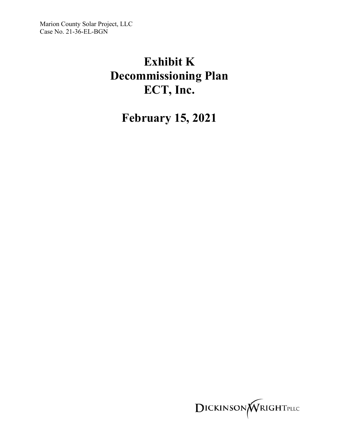Marion County Solar Project, LLC Case No. 21-36-EL-BGN

# **Exhibit K Decommissioning Plan ECT, Inc.**

**February 15, 2021** 

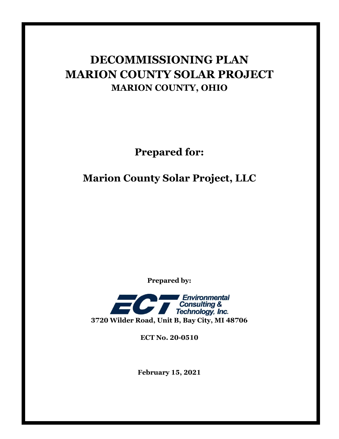## **DECOMMISSIONING PLAN MARION COUNTY SOLAR PROJECT MARION COUNTY, OHIO**

**Prepared for:**

### **Marion County Solar Project, LLC**

**Prepared by:**



**ECT No. 20-0510**

**February 15, 2021**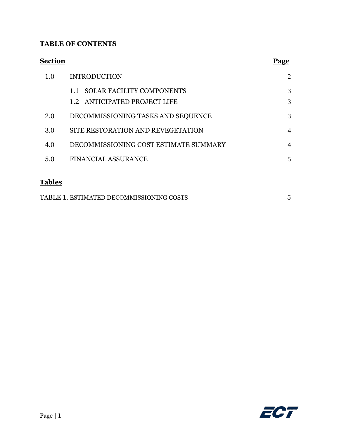#### **TABLE OF CONTENTS**

| <b>Section</b> |                                       | Page           |
|----------------|---------------------------------------|----------------|
| 1.0            | <b>INTRODUCTION</b>                   | $\overline{2}$ |
|                | 1.1 SOLAR FACILITY COMPONENTS         | 3              |
|                | 1.2 ANTICIPATED PROJECT LIFE          | 3              |
| 2.0            | DECOMMISSIONING TASKS AND SEQUENCE    | 3              |
| 3.0            | SITE RESTORATION AND REVEGETATION     | $\overline{4}$ |
| 4.0            | DECOMMISSIONING COST ESTIMATE SUMMARY | $\overline{4}$ |
| 5.0            | <b>FINANCIAL ASSURANCE</b>            | 5              |
| <b>Tables</b>  |                                       |                |

| TABLE 1. ESTIMATED DECOMMISSIONING COSTS |  |
|------------------------------------------|--|
|                                          |  |

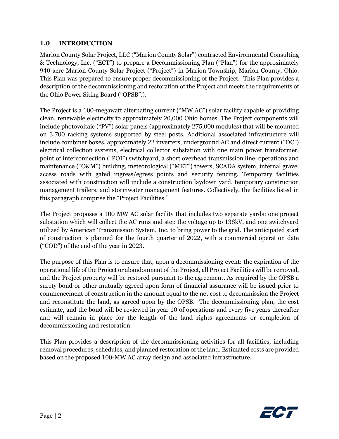#### **1.0 INTRODUCTION**

Marion County Solar Project, LLC ("Marion County Solar") contracted Environmental Consulting & Technology, Inc. ("ECT") to prepare a Decommissioning Plan ("Plan") for the approximately 940-acre Marion County Solar Project ("Project") in Marion Township, Marion County, Ohio. This Plan was prepared to ensure proper decommissioning of the Project. This Plan provides a description of the decommissioning and restoration of the Project and meets the requirements of the Ohio Power Siting Board ("OPSB".).

The Project is a 100-megawatt alternating current ("MW AC") solar facility capable of providing clean, renewable electricity to approximately 20,000 Ohio homes. The Project components will include photovoltaic ("PV") solar panels (approximately 275,000 modules) that will be mounted on 3,700 racking systems supported by steel posts. Additional associated infrastructure will include combiner boxes, approximately 22 inverters, underground AC and direct current ("DC") electrical collection systems, electrical collector substation with one main power transformer, point of interconnection ("POI") switchyard, a short overhead transmission line, operations and maintenance ("O&M") building, meteorological ("MET") towers, SCADA system, internal gravel access roads with gated ingress/egress points and security fencing. Temporary facilities associated with construction will include a construction laydown yard, temporary construction management trailers, and stormwater management features. Collectively, the facilities listed in this paragraph comprise the "Project Facilities."

The Project proposes a 100 MW AC solar facility that includes two separate yards: one project substation which will collect the AC runs and step the voltage up to 138kV, and one switchyard utilized by American Transmission System, Inc. to bring power to the grid. The anticipated start of construction is planned for the fourth quarter of 2022, with a commercial operation date ("COD") of the end of the year in 2023.

The purpose of this Plan is to ensure that, upon a decommissioning event: the expiration of the operational life of the Project or abandonment of the Project, all Project Facilities will be removed, and the Project property will be restored pursuant to the agreement. As required by the OPSB a surety bond or other mutually agreed upon form of financial assurance will be issued prior to commencement of construction in the amount equal to the net cost to decommission the Project and reconstitute the land, as agreed upon by the OPSB. The decommissioning plan, the cost estimate, and the bond will be reviewed in year 10 of operations and every five years thereafter and will remain in place for the length of the land rights agreements or completion of decommissioning and restoration.

This Plan provides a description of the decommissioning activities for all facilities, including removal procedures, schedules, and planned restoration of the land. Estimated costs are provided based on the proposed 100-MW AC array design and associated infrastructure.

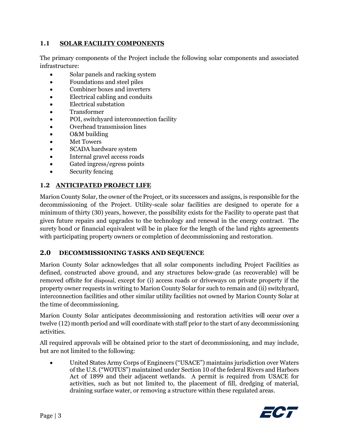#### **1.1 SOLAR FACILITY COMPONENTS**

The primary components of the Project include the following solar components and associated infrastructure:

- Solar panels and racking system
- Foundations and steel piles
- Combiner boxes and inverters
- Electrical cabling and conduits
- Electrical substation
- Transformer
- POI, switchyard interconnection facility
- Overhead transmission lines
- O&M building
- **Met Towers**
- SCADA hardware system
- Internal gravel access roads
- Gated ingress/egress points
- Security fencing

#### **1.2 ANTICIPATED PROJECT LIFE**

Marion County Solar, the owner of the Project, or its successors and assigns, is responsible for the decommissioning of the Project. Utility-scale solar facilities are designed to operate for a minimum of thirty (30) years, however, the possibility exists for the Facility to operate past that given future repairs and upgrades to the technology and renewal in the energy contract. The surety bond or financial equivalent will be in place for the length of the land rights agreements with participating property owners or completion of decommissioning and restoration.

#### **2.0 DECOMMISSIONING TASKS AND SEQUENCE**

Marion County Solar acknowledges that all solar components including Project Facilities as defined, constructed above ground, and any structures below-grade (as recoverable) will be removed offsite for disposal, except for (i) access roads or driveways on private property if the property owner requests in writing to Marion County Solar for such to remain and (ii) switchyard, interconnection facilities and other similar utility facilities not owned by Marion County Solar at the time of decommissioning.

Marion County Solar anticipates decommissioning and restoration activities will occur over a twelve (12) month period and will coordinate with staff prior to the start of any decommissioning activities.

All required approvals will be obtained prior to the start of decommissioning, and may include, but are not limited to the following:

• United States Army Corps of Engineers ("USACE") maintains jurisdiction over Waters of the U.S. ("WOTUS") maintained under Section 10 of the federal Rivers and Harbors Act of 1899 and their adjacent wetlands. A permit is required from USACE for activities, such as but not limited to, the placement of fill, dredging of material, draining surface water, or removing a structure within these regulated areas.

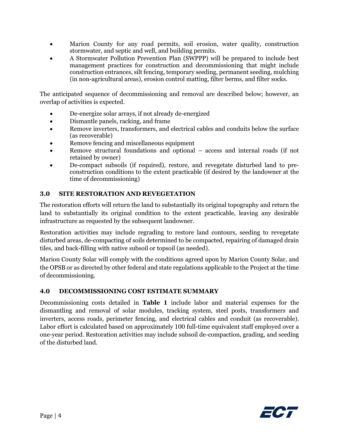- Marion County for any road permits, soil erosion, water quality, construction stormwater, and septic and well, and building permits.
- A Stormwater Pollution Prevention Plan (SWPPP) will be prepared to include best management practices for construction and decommissioning that might include construction entrances, silt fencing, temporary seeding, permanent seeding, mulching (in non-agricultural areas), erosion control matting, filter berms, and filter socks.

The anticipated sequence of decommissioning and removal are described below; however, an overlap of activities is expected.

- De-energize solar arrays, if not already de-energized
- Dismantle panels, racking, and frame
- Remove inverters, transformers, and electrical cables and conduits below the surface (as recoverable)
- Remove fencing and miscellaneous equipment
- Remove structural foundations and optional access and internal roads (if not retained by owner)
- De-compact subsoils (if required), restore, and revegetate disturbed land to preconstruction conditions to the extent practicable (if desired by the landowner at the time of decommissioning)

#### **3.0 SITE RESTORATION AND REVEGETATION**

The restoration efforts will return the land to substantially its original topography and return the land to substantially its original condition to the extent practicable, leaving any desirable infrastructure as requested by the subsequent landowner.

Restoration activities may include regrading to restore land contours, seeding to revegetate disturbed areas, de-compacting of soils determined to be compacted, repairing of damaged drain tiles, and back-filling with native subsoil or topsoil (as needed).

Marion County Solar will comply with the conditions agreed upon by Marion County Solar, and the OPSB or as directed by other federal and state regulations applicable to the Project at the time of decommissioning.

#### **4.0 DECOMMISSIONING COST ESTIMATE SUMMARY**

Decommissioning costs detailed in **Table 1** include labor and material expenses for the dismantling and removal of solar modules, tracking system, steel posts, transformers and inverters, access roads, perimeter fencing, and electrical cables and conduit (as recoverable). Labor effort is calculated based on approximately 100 full-time equivalent staff employed over a one-year period. Restoration activities may include subsoil de-compaction, grading, and seeding of the disturbed land.

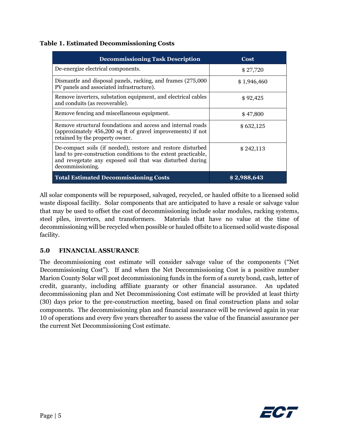#### **Table 1. Estimated Decommissioning Costs**

| <b>Decommissioning Task Description</b>                                                                                                                                                                        | Cost        |
|----------------------------------------------------------------------------------------------------------------------------------------------------------------------------------------------------------------|-------------|
| De-energize electrical components.                                                                                                                                                                             | \$27,720    |
| Dismantle and disposal panels, racking, and frames (275,000<br>PV panels and associated infrastructure).                                                                                                       | \$1,946,460 |
| Remove inverters, substation equipment, and electrical cables<br>and conduits (as recoverable).                                                                                                                | \$92,425    |
| Remove fencing and miscellaneous equipment.                                                                                                                                                                    | \$47,800    |
| Remove structural foundations and access and internal roads<br>(approximately 456,200 sq ft of gravel improvements) if not<br>retained by the property owner.                                                  | \$632,125   |
| De-compact soils (if needed), restore and restore disturbed<br>land to pre-construction conditions to the extent practicable,<br>and revegetate any exposed soil that was disturbed during<br>decommissioning. | \$242,113   |
| <b>Total Estimated Decommissioning Costs</b>                                                                                                                                                                   | \$2,988,643 |

All solar components will be repurposed, salvaged, recycled, or hauled offsite to a licensed solid waste disposal facility. Solar components that are anticipated to have a resale or salvage value that may be used to offset the cost of decommissioning include solar modules, racking systems, steel piles, inverters, and transformers. Materials that have no value at the time of decommissioning will be recycled when possible or hauled offsite to a licensed solid waste disposal facility.

#### **5.0 FINANCIAL ASSURANCE**

The decommissioning cost estimate will consider salvage value of the components ("Net Decommissioning Cost"). If and when the Net Decommissioning Cost is a positive number Marion County Solar will post decommissioning funds in the form of a surety bond, cash, letter of credit, guaranty, including affiliate guaranty or other financial assurance. An updated decommissioning plan and Net Decommissioning Cost estimate will be provided at least thirty (30) days prior to the pre-construction meeting, based on final construction plans and solar components. The decommissioning plan and financial assurance will be reviewed again in year 10 of operations and every five years thereafter to assess the value of the financial assurance per the current Net Decommissioning Cost estimate.